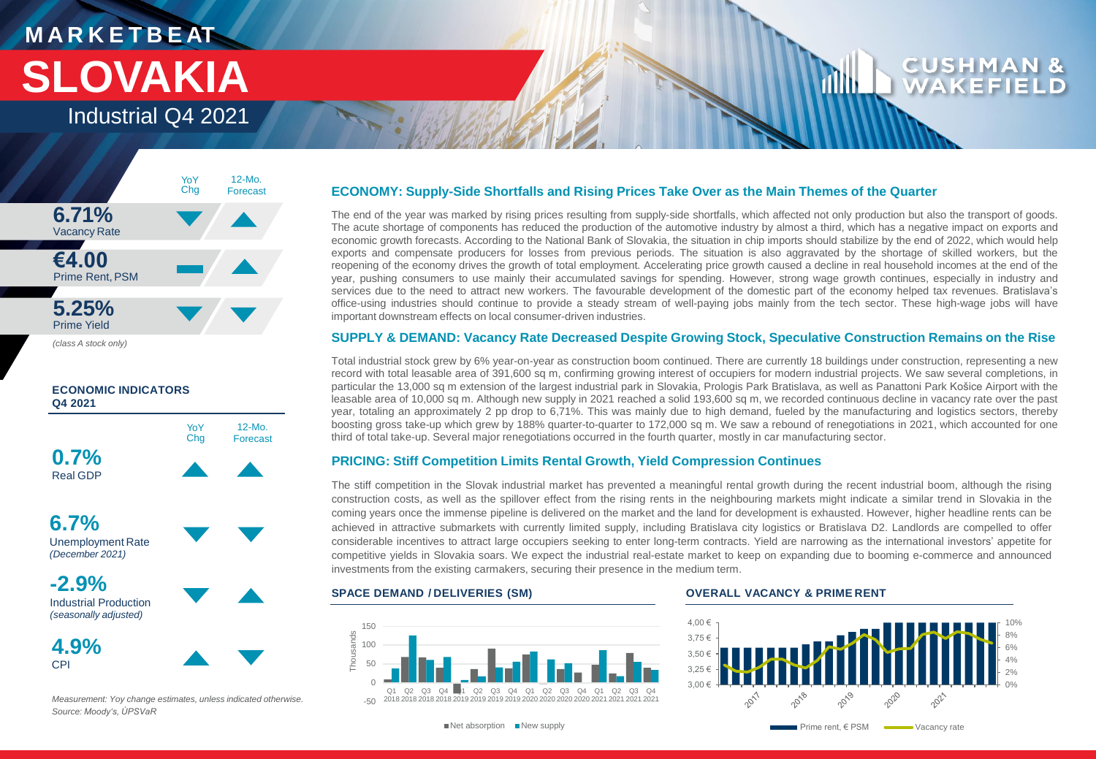# **M A R K E T B E AT SLOVAKIA**

Industrial Q4 2021





**4.9%** CPI



*Measurement: Yoy change estimates, unless indicated otherwise. Source: Moody's, ÚPSVaR*

### **ECONOMY: Supply-Side Shortfalls and Rising Prices Take Over as the Main Themes of the Quarter**

The end of the year was marked by rising prices resulting from supply-side shortfalls, which affected not only production but also the transport of goods. The acute shortage of components has reduced the production of the automotive industry by almost a third, which has a negative impact on exports and economic growth forecasts. According to the National Bank of Slovakia, the situation in chip imports should stabilize by the end of 2022, which would help exports and compensate producers for losses from previous periods. The situation is also aggravated by the shortage of skilled workers, but the reopening of the economy drives the growth of total employment. Accelerating price growth caused a decline in real household incomes at the end of the year, pushing consumers to use mainly their accumulated savings for spending. However, strong wage growth continues, especially in industry and services due to the need to attract new workers. The favourable development of the domestic part of the economy helped tax revenues. Bratislava's office-using industries should continue to provide a steady stream of well-paying jobs mainly from the tech sector. These high-wage jobs will have important downstream effects on local consumer-driven industries.

### **SUPPLY & DEMAND: Vacancy Rate Decreased Despite Growing Stock, Speculative Construction Remains on the Rise**

Total industrial stock grew by 6% year-on-year as construction boom continued. There are currently 18 buildings under construction, representing a new record with total leasable area of 391,600 sq m, confirming growing interest of occupiers for modern industrial projects. We saw several completions, in particular the 13,000 sq m extension of the largest industrial park in Slovakia, Prologis Park Bratislava, as well as Panattoni Park Košice Airport with the leasable area of 10,000 sq m. Although new supply in 2021 reached a solid 193,600 sq m, we recorded continuous decline in vacancy rate over the past year, totaling an approximately 2 pp drop to 6,71%. This was mainly due to high demand, fueled by the manufacturing and logistics sectors, thereby boosting gross take-up which grew by 188% quarter-to-quarter to 172,000 sq m. We saw a rebound of renegotiations in 2021, which accounted for one third of total take-up. Several major renegotiations occurred in the fourth quarter, mostly in car manufacturing sector.

### **PRICING: Stiff Competition Limits Rental Growth, Yield Compression Continues**

The stiff competition in the Slovak industrial market has prevented a meaningful rental growth during the recent industrial boom, although the rising construction costs, as well as the spillover effect from the rising rents in the neighbouring markets might indicate a similar trend in Slovakia in the coming years once the immense pipeline is delivered on the market and the land for development is exhausted. However, higher headline rents can be achieved in attractive submarkets with currently limited supply, including Bratislava city logistics or Bratislava D2. Landlords are compelled to offer considerable incentives to attract large occupiers seeking to enter long-term contracts. Yield are narrowing as the international investors' appetite for competitive yields in Slovakia soars. We expect the industrial real-estate market to keep on expanding due to booming e-commerce and announced investments from the existing carmakers, securing their presence in the medium term.



### **SPACE DEMAND / DELIVERIES (SM) OVERALL VACANCY & PRIME RENT**